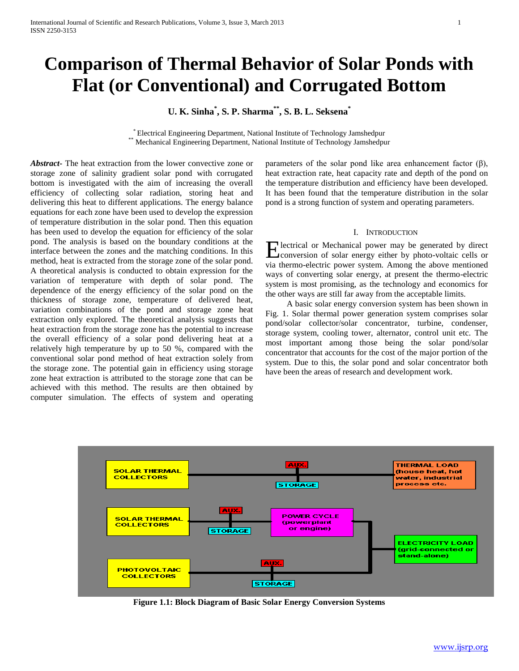# **Comparison of Thermal Behavior of Solar Ponds with Flat (or Conventional) and Corrugated Bottom**

# **U. K. Sinha\* , S. P. Sharma\*\* , S. B. L. Seksena\***

\* Electrical Engineering Department, National Institute of Technology Jamshedpur Mechanical Engineering Department, National Institute of Technology Jamshedpur

*Abstract***-** The heat extraction from the lower convective zone or storage zone of salinity gradient solar pond with corrugated bottom is investigated with the aim of increasing the overall efficiency of collecting solar radiation, storing heat and delivering this heat to different applications. The energy balance equations for each zone have been used to develop the expression of temperature distribution in the solar pond. Then this equation has been used to develop the equation for efficiency of the solar pond. The analysis is based on the boundary conditions at the interface between the zones and the matching conditions. In this method, heat is extracted from the storage zone of the solar pond. A theoretical analysis is conducted to obtain expression for the variation of temperature with depth of solar pond. The dependence of the energy efficiency of the solar pond on the thickness of storage zone, temperature of delivered heat, variation combinations of the pond and storage zone heat extraction only explored. The theoretical analysis suggests that heat extraction from the storage zone has the potential to increase the overall efficiency of a solar pond delivering heat at a relatively high temperature by up to 50 %, compared with the conventional solar pond method of heat extraction solely from the storage zone. The potential gain in efficiency using storage zone heat extraction is attributed to the storage zone that can be achieved with this method. The results are then obtained by computer simulation. The effects of system and operating

parameters of the solar pond like area enhancement factor (β), heat extraction rate, heat capacity rate and depth of the pond on the temperature distribution and efficiency have been developed. It has been found that the temperature distribution in the solar pond is a strong function of system and operating parameters.

#### I. INTRODUCTION

lectrical or Mechanical power may be generated by direct Electrical or Mechanical power may be generated by direct conversion of solar energy either by photo-voltaic cells or via thermo-electric power system. Among the above mentioned ways of converting solar energy, at present the thermo-electric system is most promising, as the technology and economics for the other ways are still far away from the acceptable limits.

 A basic solar energy conversion system has been shown in Fig. 1. Solar thermal power generation system comprises solar pond/solar collector/solar concentrator, turbine, condenser, storage system, cooling tower, alternator, control unit etc. The most important among those being the solar pond/solar concentrator that accounts for the cost of the major portion of the system. Due to this, the solar pond and solar concentrator both have been the areas of research and development work.



**Figure 1.1: Block Diagram of Basic Solar Energy Conversion Systems**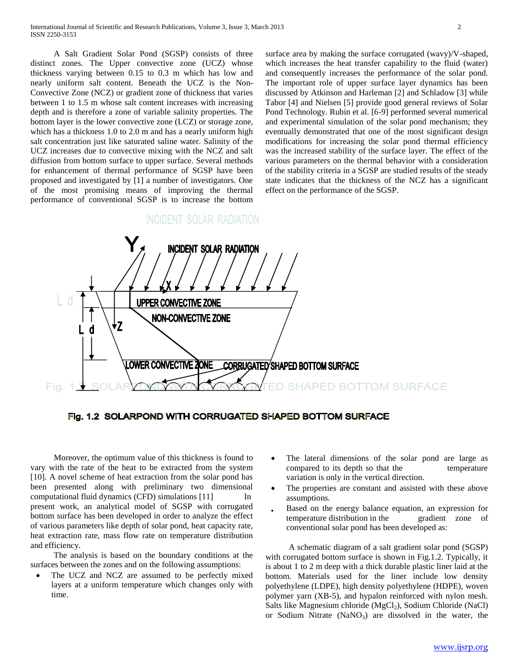A Salt Gradient Solar Pond (SGSP) consists of three distinct zones. The Upper convective zone (UCZ) whose thickness varying between 0.15 to 0.3 m which has low and nearly uniform salt content. Beneath the UCZ is the Non-Convective Zone (NCZ) or gradient zone of thickness that varies between 1 to 1.5 m whose salt content increases with increasing depth and is therefore a zone of variable salinity properties. The bottom layer is the lower convective zone (LCZ) or storage zone, which has a thickness 1.0 to 2.0 m and has a nearly uniform high salt concentration just like saturated saline water. Salinity of the UCZ increases due to convective mixing with the NCZ and salt diffusion from bottom surface to upper surface. Several methods for enhancement of thermal performance of SGSP have been proposed and investigated by [1] a number of investigators. One of the most promising means of improving the thermal performance of conventional SGSP is to increase the bottom surface area by making the surface corrugated (wavy)/V-shaped, which increases the heat transfer capability to the fluid (water) and consequently increases the performance of the solar pond. The important role of upper surface layer dynamics has been discussed by Atkinson and Harleman [2] and Schladow [3] while Tabor [4] and Nielsen [5] provide good general reviews of Solar Pond Technology. Rubin et al. [6-9] performed several numerical and experimental simulation of the solar pond mechanism; they eventually demonstrated that one of the most significant design modifications for increasing the solar pond thermal efficiency was the increased stability of the surface layer. The effect of the various parameters on the thermal behavior with a consideration of the stability criteria in a SGSP are studied results of the steady state indicates that the thickness of the NCZ has a significant effect on the performance of the SGSP.



Fig. 1.2 SOLARPOND WITH CORRUGATED SHAPED BOTTOM SURFACE

 Moreover, the optimum value of this thickness is found to vary with the rate of the heat to be extracted from the system [10]. A novel scheme of heat extraction from the solar pond has been presented along with preliminary two dimensional computational fluid dynamics (CFD) simulations [11] In present work, an analytical model of SGSP with corrugated bottom surface has been developed in order to analyze the effect of various parameters like depth of solar pond, heat capacity rate, heat extraction rate, mass flow rate on temperature distribution and efficiency.

 The analysis is based on the boundary conditions at the surfaces between the zones and on the following assumptions:

 The UCZ and NCZ are assumed to be perfectly mixed layers at a uniform temperature which changes only with time.

- The lateral dimensions of the solar pond are large as compared to its depth so that the temperature variation is only in the vertical direction.
- The properties are constant and assisted with these above assumptions.
- Based on the energy balance equation, an expression for temperature distribution in the gradient zone of conventional solar pond has been developed as:

 A schematic diagram of a salt gradient solar pond (SGSP) with corrugated bottom surface is shown in Fig.1.2. Typically, it is about 1 to 2 m deep with a thick durable plastic liner laid at the bottom. Materials used for the liner include low density polyethylene (LDPE), high density polyethylene (HDPE), woven polymer yarn (XB-5), and hypalon reinforced with nylon mesh. Salts like Magnesium chloride (MgCl<sub>2</sub>), Sodium Chloride (NaCl) or Sodium Nitrate  $(NaNO<sub>3</sub>)$  are dissolved in the water, the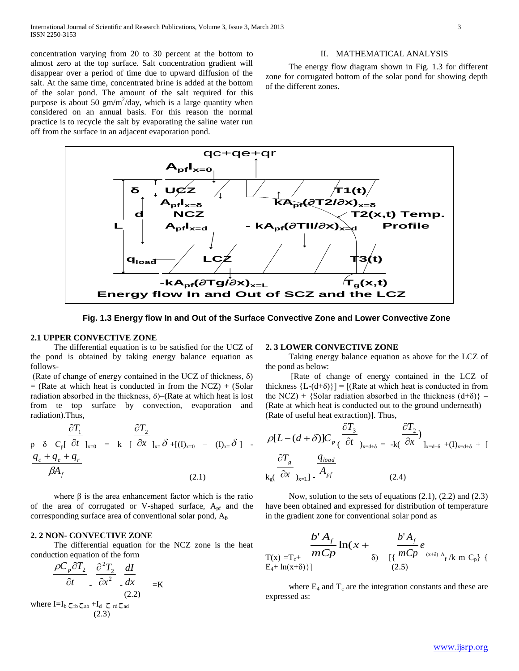concentration varying from 20 to 30 percent at the bottom to almost zero at the top surface. Salt concentration gradient will disappear over a period of time due to upward diffusion of the salt. At the same time, concentrated brine is added at the bottom of the solar pond. The amount of the salt required for this purpose is about 50  $\text{gm/m}^2/\text{day}$ , which is a large quantity when considered on an annual basis. For this reason the normal practice is to recycle the salt by evaporating the saline water run off from the surface in an adjacent evaporation pond.

#### II. MATHEMATICAL ANALYSIS

 The energy flow diagram shown in Fig. 1.3 for different zone for corrugated bottom of the solar pond for showing depth of the different zones.



**Fig. 1.3 Energy flow In and Out of the Surface Convective Zone and Lower Convective Zone**

#### **2.1 UPPER CONVECTIVE ZONE**

 The differential equation is to be satisfied for the UCZ of the pond is obtained by taking energy balance equation as follows-

(Rate of change of energy contained in the UCZ of thickness,  $\delta$ )  $=$  (Rate at which heat is conducted in from the NCZ) + (Solar radiation absorbed in the thickness,  $\delta$ )–(Rate at which heat is lost from te top surface by convection, evaporation and radiation).Thus,

$$
\frac{\partial T_1}{\rho \delta C_p \delta C_p \delta t}|_{x=0} = k \left[ \frac{\partial T_2}{\partial x} \right]_{x=\delta} + [(1)_{x=0} - (1)_{x=\delta}] -
$$
  

$$
\frac{q_c + q_e + q_r}{\beta A_f}
$$
 (2.1)

where  $\beta$  is the area enhancement factor which is the ratio of the area of corrugated or V-shaped surface,  $A_{pf}$  and the corresponding surface area of conventional solar pond, A**<sup>f</sup>** .

#### **2. 2 NON- CONVECTIVE ZONE**

 The differential equation for the NCZ zone is the heat conduction equation of the form

$$
\frac{\rho C_p \partial T_2}{\partial t} \cdot \frac{\partial^2 T_2}{\partial x^2} \cdot \frac{dI}{dx} = K
$$
\nwhere I=I<sub>b</sub>  $\zeta_{rb} \zeta_{ab} + I_d \zeta_{rd} \zeta_{ad}$ \n(2.3)

#### **2. 3 LOWER CONVECTIVE ZONE**

 Taking energy balance equation as above for the LCZ of the pond as below:

 [Rate of change of energy contained in the LCZ of thickness  ${L-(d+\delta)}$ ] = [(Rate at which heat is conducted in from the NCZ) + {Solar radiation absorbed in the thickness  $(d+\delta)$ } – (Rate at which heat is conducted out to the ground underneath) – (Rate of useful heat extraction)]. Thus,

$$
\rho[L - (d + \delta)]C_p \frac{\partial T_3}{\partial t} \Big|_{x = d + \delta} = -k(\frac{\partial T_2}{\partial x})_{x = d + \delta} + (I)_{x = d + \delta} + [
$$
  

$$
\frac{\partial T_g}{\partial x} \frac{q_{load}}{\partial x} \Big|_{x = L} - A_{pf} \Big|_{x = d + \delta} \Big|_{x = d + \delta} = -k(\frac{\partial T_2}{\partial x})_{x = d + \delta} + [
$$
 (2.4)

 Now, solution to the sets of equations (2.1), (2.2) and (2.3) have been obtained and expressed for distribution of temperature in the gradient zone for conventional solar pond as

$$
\frac{b^{4} A_{f}}{m C p} \ln(x + \frac{b^{4} A_{f}}{m C p} e_{(x+\delta) A_{f}} + \frac{b^{4} A_{f}}{m C p} e_{(x+\delta) A_{f}} k m C_{p} \}
$$

where  $E_4$  and  $T_c$  are the integration constants and these are expressed as: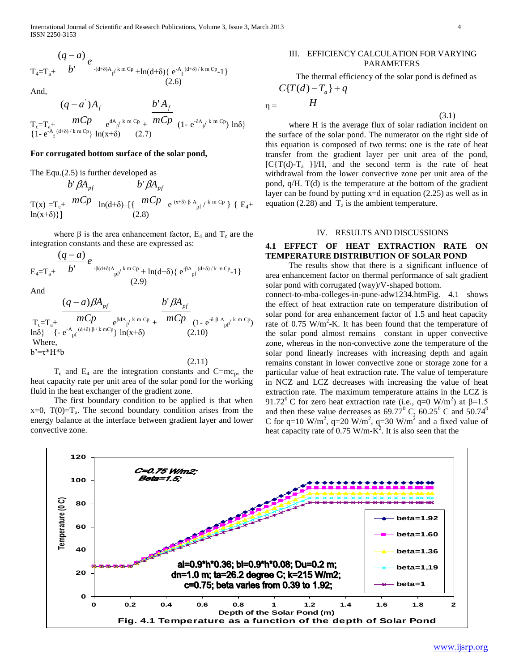$$
T_{4}=T_{a}+\frac{(q-a)}{b}e_{-(d+\delta)A_{f}/k m Cp}+\ln(d+\delta)\{e^{-A_{f}(d+\delta)/k m Cp}-1\}\n(2.6)
$$

And,

$$
\frac{(q-a^{2})A_{f}}{T_{c} = T_{a^{+}} \frac{mCp}{(d+\delta)/k m Cp} e^{dA_{f}/k m Cp} + \frac{b^{2}A_{f}}{mCp} (1 - e^{-\delta A_{f}/k m Cp}) \ln\delta} - \frac{1}{2} \left\{1 - e^{-\delta A_{f}/k m Cp} e^{dA_{f}/k m Cp} \right\} \ln(x+\delta) \qquad (2.7)
$$

#### **For corrugated bottom surface of the solar pond,**

The Equ.(2.5) is further developed as

$$
\frac{b^{\prime} \beta A_{pf}}{\Gamma(x) = T_c + \frac{mCp}{mCp}} \ln(d+\delta) - \left\{ \frac{b^{\prime} \beta A_{pf}}{mCp} e^{(x+\delta)\beta A_{pf}/k m Cp} \right\} \left\{ E_4 + \ln(x+\delta) \right\}
$$

where  $\beta$  is the area enhancement factor,  $E_4$  and  $T_c$  are the integration constants and these are expressed as:

$$
E_4 = T_a + \frac{(q-a)}{b'} e^{-\beta(d+\delta)A_{pf'}k m Cp} + \ln(d+\delta) \{ e^{-\beta A_{pf'}(d+\delta)/k m Cp} - 1 \}
$$
\n(2.9)

And

$$
\frac{(q-a)\beta A_{pf}}{\prod_{c=1}^{c-1} \prod_{a^{+}} mCp} e^{\beta dA_{pf} k m Cp} + \frac{b'\beta A_{pf}}{mCp} \frac{(1 - e^{-\delta \beta A_{pf'} k m Cp})}{(1 - e^{-\delta \beta A_{pf'}} k m Cp)}
$$
\nWhere,  
\nb'=t<sup>\*</sup>H<sup>\*</sup>b

(2.11)

 $T_c$  and  $E_4$  are the integration constants and  $C=mc_p$ , the heat capacity rate per unit area of the solar pond for the working fluid in the heat exchanger of the gradient zone.

 The first boundary condition to be applied is that when  $x=0$ ,  $T(0)=T_a$ . The second boundary condition arises from the energy balance at the interface between gradient layer and lower convective zone.

#### III. EFFICIENCY CALCULATION FOR VARYING PARAMETERS

The thermal efficiency of the solar pond is defined as *H*  $C\{T(d) - T_a\} + q$ 

 where H is the average flux of solar radiation incident on the surface of the solar pond. The numerator on the right side of this equation is composed of two terms: one is the rate of heat transfer from the gradient layer per unit area of the pond,  $[C\{T(d)-T_a\}] / H$ , and the second term is the rate of heat withdrawal from the lower convective zone per unit area of the pond, q/H. T(d) is the temperature at the bottom of the gradient layer can be found by putting  $x=$ d in equation (2.25) as well as in equation (2.28) and  $T_a$  is the ambient temperature.

#### IV. RESULTS AND DISCUSSIONS

#### **4.1 EFFECT OF HEAT EXTRACTION RATE ON TEMPERATURE DISTRIBUTION OF SOLAR POND**

 The results show that there is a significant influence of area enhancement factor on thermal performance of salt gradient solar pond with corrugated (way)/V-shaped bottom.

connect-to-mba-colleges-in-pune-adw1234.htmFig. 4.1 shows the effect of heat extraction rate on temperature distribution of solar pond for area enhancement factor of 1.5 and heat capacity rate of  $0.75 \text{ W/m}^2$ -K. It has been found that the temperature of the solar pond almost remains constant in upper convective zone, whereas in the non-convective zone the temperature of the solar pond linearly increases with increasing depth and again remains constant in lower convective zone or storage zone for a particular value of heat extraction rate. The value of temperature in NCZ and LCZ decreases with increasing the value of heat extraction rate. The maximum temperature attains in the LCZ is 91.72<sup>0</sup> C for zero heat extraction rate (i.e., q=0 W/m<sup>2</sup>) at  $\beta$ =1.5 and then these value decreases as  $69.77^{\circ}$  C,  $60.25^{\circ}$  C and  $50.74^{\circ}$ C for q=10 W/m<sup>2</sup>, q=20 W/m<sup>2</sup>, q=30 W/m<sup>2</sup> and a fixed value of heat capacity rate of 0.75 W/m- $K^2$ . It is also seen that the



 $\eta =$ 

(3.1)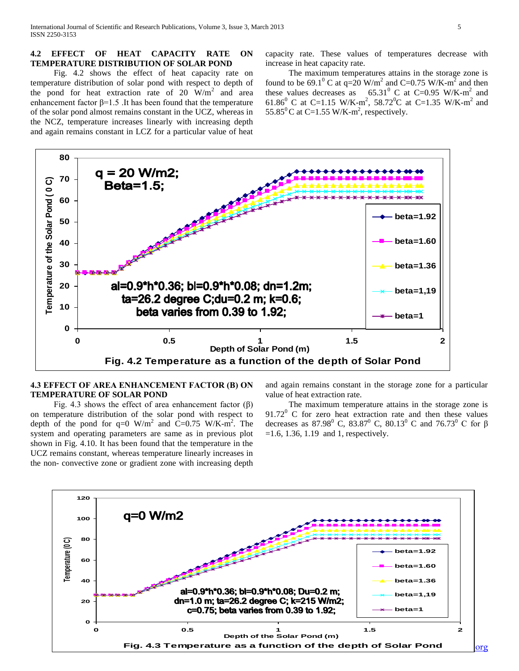#### **4.2 EFFECT OF HEAT CAPACITY RATE ON TEMPERATURE DISTRIBUTION OF SOLAR POND**

 Fig. 4.2 shows the effect of heat capacity rate on temperature distribution of solar pond with respect to depth of the pond for heat extraction rate of 20  $\text{W/m}^2$  and area enhancement factor  $\beta$ =1.5 .It has been found that the temperature of the solar pond almost remains constant in the UCZ, whereas in the NCZ, temperature increases linearly with increasing depth and again remains constant in LCZ for a particular value of heat

capacity rate. These values of temperatures decrease with increase in heat capacity rate.

 The maximum temperatures attains in the storage zone is found to be 69.1<sup>0</sup> C at q=20 W/m<sup>2</sup> and C=0.75 W/K-m<sup>2</sup> and then these values decreases as  $65.31^{\circ}$  C at C=0.95 W/K-m<sup>2</sup> and 61.86<sup>0</sup> C at C=1.15 W/K-m<sup>2</sup>, 58.72<sup>0</sup>C at C=1.35 W/K-m<sup>2</sup> and 55.85<sup>0</sup>C at C=1.55 W/K-m<sup>2</sup>, respectively.



# **4.3 EFFECT OF AREA ENHANCEMENT FACTOR (Β) ON TEMPERATURE OF SOLAR POND**

Fig. 4.3 shows the effect of area enhancement factor  $(\beta)$ on temperature distribution of the solar pond with respect to depth of the pond for  $q=0$  W/m<sup>2</sup> and C=0.75 W/K-m<sup>2</sup>. The system and operating parameters are same as in previous plot shown in Fig. 4.10. It has been found that the temperature in the UCZ remains constant, whereas temperature linearly increases in the non- convective zone or gradient zone with increasing depth

and again remains constant in the storage zone for a particular value of heat extraction rate.

 The maximum temperature attains in the storage zone is  $91.72^{\circ}$  C for zero heat extraction rate and then these values decreases as 87.98<sup>0</sup> C, 83.87<sup>0</sup> C, 80.13<sup>0</sup> C and 76.73<sup>0</sup> C for  $\beta$  $=1.6, 1.36, 1.19, and 1, respectively.$ 

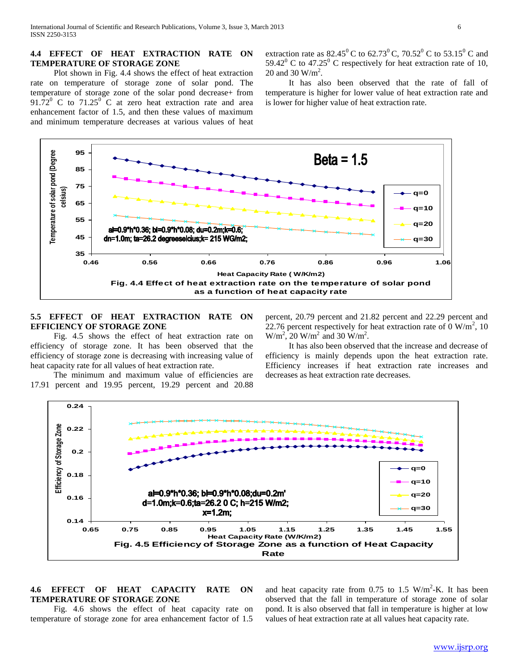#### **4.4 EFFECT OF HEAT EXTRACTION RATE ON TEMPERATURE OF STORAGE ZONE**

 Plot shown in Fig. 4.4 shows the effect of heat extraction rate on temperature of storage zone of solar pond. The temperature of storage zone of the solar pond decrease+ from  $91.72^{\circ}$  C to  $71.25^{\circ}$  C at zero heat extraction rate and area enhancement factor of 1.5, and then these values of maximum and minimum temperature decreases at various values of heat

extraction rate as 82.45<sup>0</sup> C to 62.73<sup>0</sup> C, 70.52<sup>0</sup> C to 53.15<sup>0</sup> C and 59.42 $^{\circ}$  C to 47.25 $^{\circ}$  C respectively for heat extraction rate of 10, 20 and 30  $W/m^2$ .

 It has also been observed that the rate of fall of temperature is higher for lower value of heat extraction rate and is lower for higher value of heat extraction rate.



# **5.5 EFFECT OF HEAT EXTRACTION RATE ON EFFICIENCY OF STORAGE ZONE**

 Fig. 4.5 shows the effect of heat extraction rate on efficiency of storage zone. It has been observed that the efficiency of storage zone is decreasing with increasing value of heat capacity rate for all values of heat extraction rate.

 The minimum and maximum value of efficiencies are 17.91 percent and 19.95 percent, 19.29 percent and 20.88 percent, 20.79 percent and 21.82 percent and 22.29 percent and 22.76 percent respectively for heat extraction rate of  $\overline{0}$  W/m<sup>2</sup>, 10  $W/m^2$ , 20  $W/m^2$  and 30  $W/m^2$ .

 It has also been observed that the increase and decrease of efficiency is mainly depends upon the heat extraction rate. Efficiency increases if heat extraction rate increases and decreases as heat extraction rate decreases.



## **4.6 EFFECT OF HEAT CAPACITY RATE ON TEMPERATURE OF STORAGE ZONE**

 Fig. 4.6 shows the effect of heat capacity rate on temperature of storage zone for area enhancement factor of 1.5

and heat capacity rate from 0.75 to 1.5  $W/m^2$ -K. It has been observed that the fall in temperature of storage zone of solar pond. It is also observed that fall in temperature is higher at low values of heat extraction rate at all values heat capacity rate.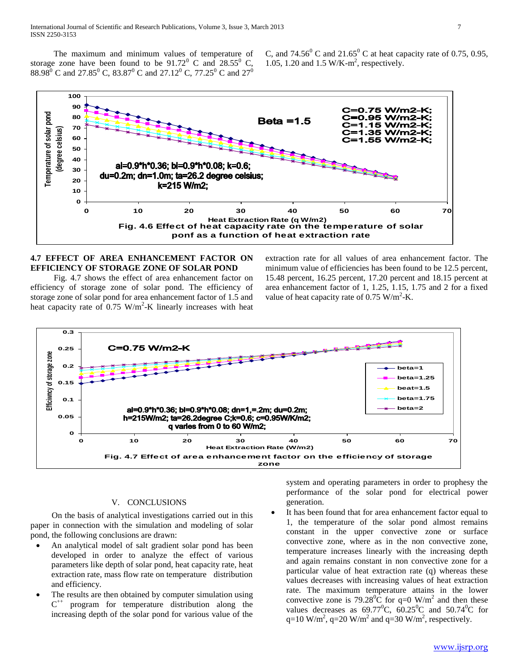The maximum and minimum values of temperature of storage zone have been found to be  $91.72^{\circ}$  C and  $28.55^{\circ}$  C, 88.98<sup>0</sup> C and 27.85<sup>0</sup> C, 83.87<sup>0</sup> C and 27.12<sup>0</sup> C, 77.25<sup>0</sup> C and 27<sup>0</sup>

C, and 74.56<sup>0</sup> C and 21.65<sup>0</sup> C at heat capacity rate of 0.75, 0.95, 1.05, 1.20 and 1.5 W/K-m 2 , respectively.



# **4.7 EFFECT OF AREA ENHANCEMENT FACTOR ON EFFICIENCY OF STORAGE ZONE OF SOLAR POND**

 Fig. 4.7 shows the effect of area enhancement factor on efficiency of storage zone of solar pond. The efficiency of storage zone of solar pond for area enhancement factor of 1.5 and heat capacity rate of  $0.75 \text{ W/m}^2$ -K linearly increases with heat extraction rate for all values of area enhancement factor. The minimum value of efficiencies has been found to be 12.5 percent, 15.48 percent, 16.25 percent, 17.20 percent and 18.15 percent at area enhancement factor of 1, 1.25, 1.15, 1.75 and 2 for a fixed value of heat capacity rate of  $0.75 \text{ W/m}^2$ -K.



#### V. CONCLUSIONS

 On the basis of analytical investigations carried out in this paper in connection with the simulation and modeling of solar pond, the following conclusions are drawn:

- An analytical model of salt gradient solar pond has been developed in order to analyze the effect of various parameters like depth of solar pond, heat capacity rate, heat extraction rate, mass flow rate on temperature distribution and efficiency.
- The results are then obtained by computer simulation using  $C^{++}$ program for temperature distribution along the increasing depth of the solar pond for various value of the

system and operating parameters in order to prophesy the performance of the solar pond for electrical power generation.

 It has been found that for area enhancement factor equal to 1, the temperature of the solar pond almost remains constant in the upper convective zone or surface convective zone, where as in the non convective zone, temperature increases linearly with the increasing depth and again remains constant in non convective zone for a particular value of heat extraction rate (q) whereas these values decreases with increasing values of heat extraction rate. The maximum temperature attains in the lower convective zone is 79.28 $\overline{^0C}$  for q=0 W/m<sup>2</sup> and then these values decreases as  $69.77^{\circ}$ C,  $60.25^{\circ}$ C and  $50.74^{\circ}$ C for q=10 W/m<sup>2</sup>, q=20 W/m<sup>2</sup> and q=30 W/m<sup>2</sup>, respectively.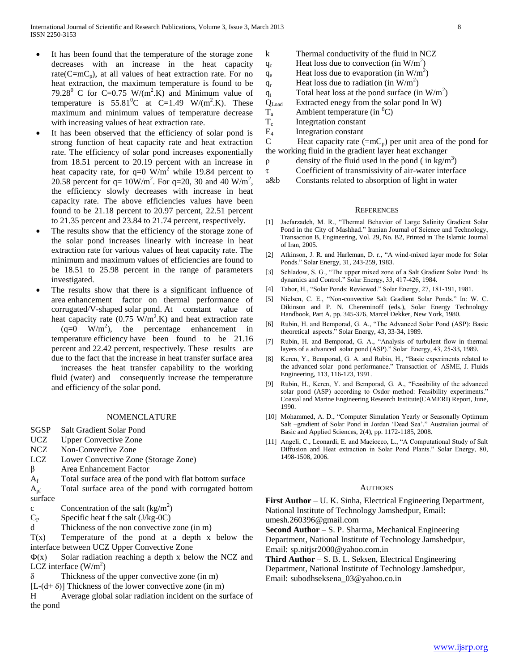- It has been found that the temperature of the storage zone decreases with an increase in the heat capacity rate( $C=mc_p$ ), at all values of heat extraction rate. For no heat extraction, the maximum temperature is found to be 79.28<sup>0</sup> C for C=0.75 W/(m<sup>2</sup>.K) and Minimum value of temperature is  $55.81^{\circ}$ C at C=1.49 W/(m<sup>2</sup>.K). These maximum and minimum values of temperature decrease with increasing values of heat extraction rate.
- It has been observed that the efficiency of solar pond is strong function of heat capacity rate and heat extraction rate. The efficiency of solar pond increases exponentially from 18.51 percent to 20.19 percent with an increase in heat capacity rate, for  $q=0$  W/m<sup>2</sup> while 19.84 percent to 20.58 percent for  $q = 10W/m^2$ . For  $q=20$ , 30 and 40 W/m<sup>2</sup>, the efficiency slowly decreases with increase in heat capacity rate. The above efficiencies values have been found to be 21.18 percent to 20.97 percent, 22.51 percent to 21.35 percent and 23.84 to 21.74 percent, respectively.
- The results show that the efficiency of the storage zone of the solar pond increases linearly with increase in heat extraction rate for various values of heat capacity rate. The minimum and maximum values of efficiencies are found to be 18.51 to 25.98 percent in the range of parameters investigated.
- The results show that there is a significant influence of area enhancement factor on thermal performance of corrugated/V-shaped solar pond. At constant value of heat capacity rate  $(0.75 \text{ W/m}^2 \text{K})$  and heat extraction rate  $(q=0 \t W/m^2)$ , the percentage enhancement in temperature efficiency have been found to be 21.16 percent and 22.42 percent, respectively. These results are due to the fact that the increase in heat transfer surface area

increases the heat transfer capability to the working fluid (water) and consequently increase the temperature and efficiency of the solar pond.

#### NOMENCLATURE

- SGSP Salt Gradient Solar Pond
- UCZ Upper Convective Zone
- NCZ Non-Convective Zone
- LCZ Lower Convective Zone (Storage Zone)
- β Area Enhancement Factor
- $A_f$  Total surface area of the pond with flat bottom surface
- Apf Total surface area of the pond with corrugated bottom surface
- c Concentration of the salt  $(kg/m^2)$
- $C_P$  Specific heat f the salt (J/kg-0C)
- d Thickness of the non convective zone (in m)

 $T(x)$  Temperature of the pond at a depth x below the interface between UCZ Upper Convective Zone

 $\Phi(x)$  Solar radiation reaching a depth x below the NCZ and LCZ interface  $(W/m^2)$ 

- $\delta$  Thickness of the upper convective zone (in m)
- $[L-(d+\delta)]$  Thickness of the lower convective zone (in m)
- H Average global solar radiation incident on the surface of the pond

| k          | Thermal conductivity of the fluid in NCZ          |
|------------|---------------------------------------------------|
| $q_c$      | Heat loss due to convection (in $W/m^2$ )         |
| $q_e$      | Heat loss due to evaporation (in $W/m^2$ )        |
| $q_{r}$    | Heat loss due to radiation (in $W/m^2$ )          |
| $q_t$      | Total heat loss at the pond surface (in $W/m^2$ ) |
| $Q_{Load}$ | Extracted enegy from the solar pond In W)         |
| $T_{a}$    | Ambient temperature (in ${}^{0}C$ )               |
| $T_c$      | Integrtation constant                             |
| $E_4$      | Integration constant                              |

C Heat capacity rate  $(=mC_p)$  per unit area of the pond for the working fluid in the gradient layer heat exchanger

 $ρ$  density of the fluid used in the pond (in kg/m<sup>3</sup>)

τ Coefficient of transmissivity of air-water interface

a&b Constants related to absorption of light in water

#### **REFERENCES**

- [1] Jaefarzadeh, M. R., "Thermal Behavior of Large Salinity Gradient Solar Pond in the City of Mashhad." Iranian Journal of Science and Technology, Transaction B, Engineering, Vol. 29, No. B2, Printed in The Islamic Journal of Iran, 2005.
- [2] Atkinson, J. R. and Harleman, D. r., "A wind-mixed layer mode for Solar Ponds." Solar Energy, 31, 243-259, 1983.
- [3] Schladow, S. G., "The upper mixed zone of a Salt Gradient Solar Pond: Its dynamics and Control." Solar Energy, 33, 417-426, 1984.
- [4] Tabor, H., "Solar Ponds: Reviewed." Solar Energy, 27, 181-191, 1981.
- [5] Nielsen, C. E., "Non-convective Salt Gradient Solar Ponds." In: W. C. Dikinson and P. N. Chereminoff (eds.), Solar Energy Technology Handbook, Part A, pp. 345-376, Marcel Dekker, New York, 1980.
- [6] Rubin, H. and Bemporad, G. A., "The Advanced Solar Pond (ASP): Basic theoretical aspects." Solar Energy, 43, 33-34, 1989.
- [7] Rubin, H. and Bemporad, G. A., "Analysis of turbulent flow in thermal layers of a advanced solar pond (ASP)." Solar Energy, 43, 25-33, 1989.
- [8] Keren, Y., Bemporad, G. A. and Rubin, H., "Basic experiments related to the advanced solar pond performance." Transaction of ASME, J. Fluids Engineering, 113, 116-123, 1991.
- [9] Rubin, H., Keren, Y. and Bemporad, G. A., "Feasibility of the advanced solar pond (ASP) according to Osdor method: Feasibility experiments." Coastal and Marine Engineering Research Institute(CAMERI) Report, June, 1990.
- [10] Mohammed, A. D., "Computer Simulation Yearly or Seasonally Optimum Salt –gradient of Solar Pond in Jordan 'Dead Sea'." Australian journal of Basic and Applied Sciences, 2(4), pp. 1172-1185, 2008.
- [11] Angeli, C., Leonardi, E. and Maciocco, L., "A Computational Study of Salt Diffusion and Heat extraction in Solar Pond Plants." Solar Energy, 80, 1498-1508, 2006.

#### **AUTHORS**

**First Author** – U. K. Sinha, Electrical Engineering Department, National Institute of Technology Jamshedpur, Email: umesh.260396@gmail.com

**Second Author** – S. P. Sharma, Mechanical Engineering

Department, National Institute of Technology Jamshedpur, Email: sp.nitjsr2000@yahoo.com.in

**Third Author** – S. B. L. Seksen, Electrical Engineering

Department, National Institute of Technology Jamshedpur,

Email: subodhseksena\_03@yahoo.co.in